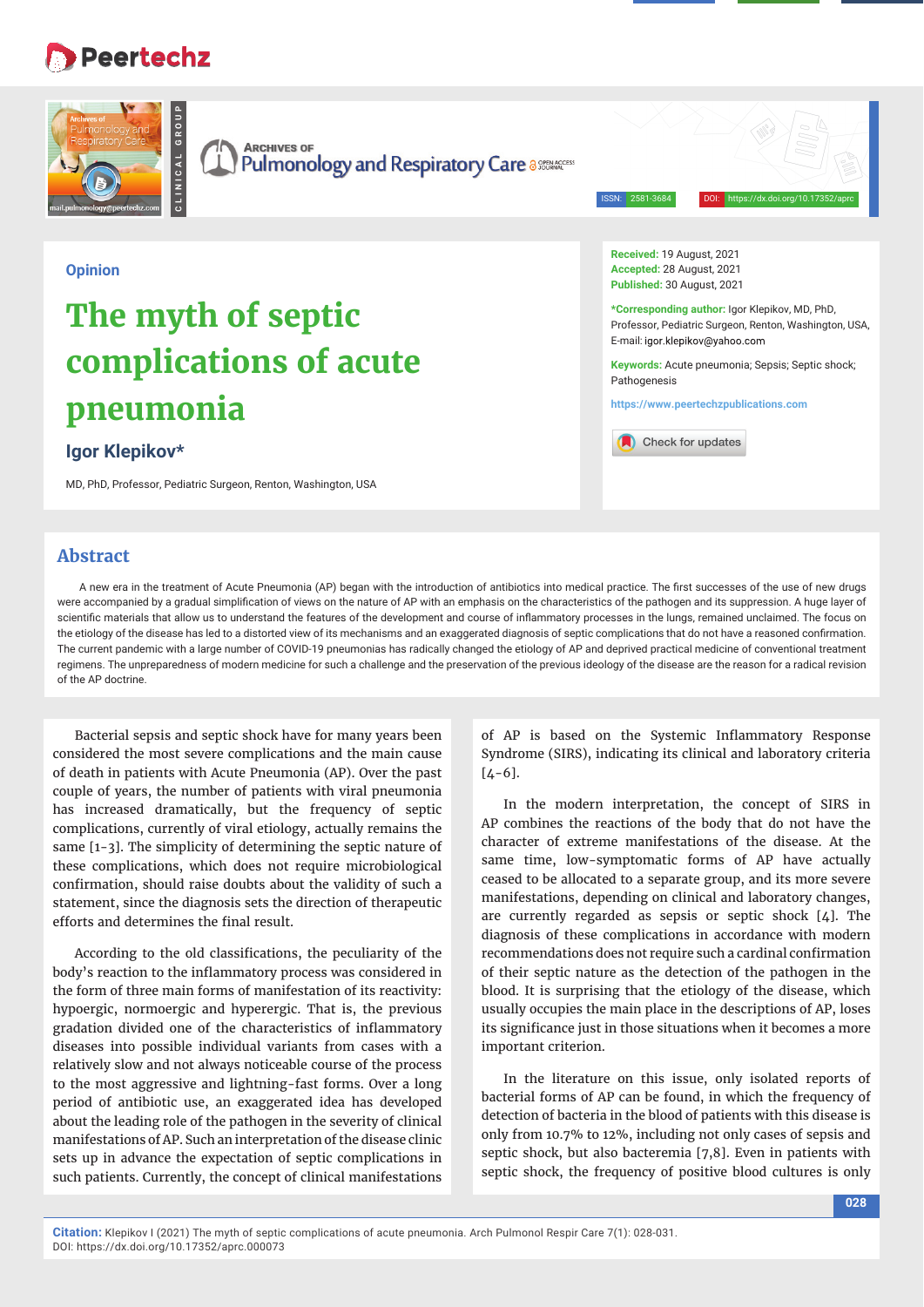# **Peertechz**



**Keywords:** Acute pneumonia; Sepsis; Septic shock; Pathogenesis

**https://www.peertechzpublications.com**

Check for updates

# **complications of acute pneumonia**

## **Igor Klepikov\***

MD, PhD, Professor, Pediatric Surgeon, Renton, Washington, USA

# **Abstract**

A new era in the treatment of Acute Pneumonia (AP) began with the introduction of antibiotics into medical practice. The first successes of the use of new drugs were accompanied by a gradual simplification of views on the nature of AP with an emphasis on the characteristics of the pathogen and its suppression. A huge layer of scientific materials that allow us to understand the features of the development and course of inflammatory processes in the lungs, remained unclaimed. The focus on the etiology of the disease has led to a distorted view of its mechanisms and an exaggerated diagnosis of septic complications that do not have a reasoned confirmation. The current pandemic with a large number of COVID-19 pneumonias has radically changed the etiology of AP and deprived practical medicine of conventional treatment regimens. The unpreparedness of modern medicine for such a challenge and the preservation of the previous ideology of the disease are the reason for a radical revision of the AP doctrine.

Bacterial sepsis and septic shock have for many years been considered the most severe complications and the main cause of death in patients with Acute Pneumonia (AP). Over the past couple of years, the number of patients with viral pneumonia has increased dramatically, but the frequency of septic complications, currently of viral etiology, actually remains the same [1-3]. The simplicity of determining the septic nature of these complications, which does not require microbiological confirmation, should raise doubts about the validity of such a statement, since the diagnosis sets the direction of therapeutic efforts and determines the final result.

According to the old classifications, the peculiarity of the body's reaction to the inflammatory process was considered in the form of three main forms of manifestation of its reactivity: hypoergic, normoergic and hyperergic. That is, the previous gradation divided one of the characteristics of inflammatory diseases into possible individual variants from cases with a relatively slow and not always noticeable course of the process to the most aggressive and lightning-fast forms. Over a long period of antibiotic use, an exaggerated idea has developed about the leading role of the pathogen in the severity of clinical manifestations of AP. Such an interpretation of the disease clinic sets up in advance the expectation of septic complications in such patients. Currently, the concept of clinical manifestations

of AP is based on the Systemic Inflammatory Response Syndrome (SIRS), indicating its clinical and laboratory criteria  $[4-6]$ .

In the modern interpretation, the concept of SIRS in AP combines the reactions of the body that do not have the character of extreme manifestations of the disease. At the same time, low-symptomatic forms of AP have actually ceased to be allocated to a separate group, and its more severe manifestations, depending on clinical and laboratory changes, are currently regarded as sepsis or septic shock [4]. The diagnosis of these complications in accordance with modern recommendations does not require such a cardinal confirmation of their septic nature as the detection of the pathogen in the blood. It is surprising that the etiology of the disease, which usually occupies the main place in the descriptions of AP, loses its significance just in those situations when it becomes a more important criterion.

In the literature on this issue, only isolated reports of bacterial forms of AP can be found, in which the frequency of detection of bacteria in the blood of patients with this disease is only from 10.7% to 12%, including not only cases of sepsis and septic shock, but also bacteremia [7,8]. Even in patients with septic shock, the frequency of positive blood cultures is only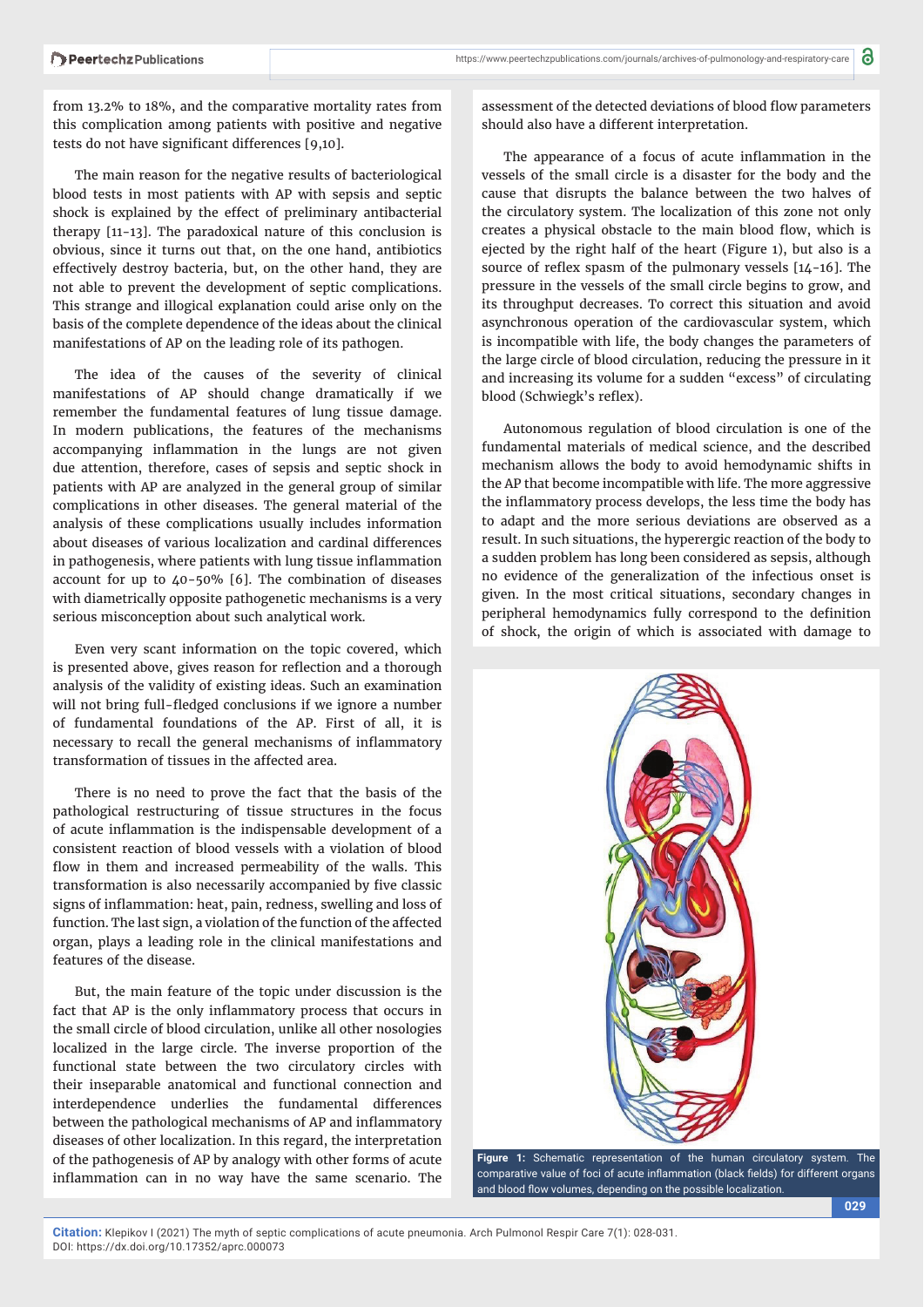from 13.2% to 18%, and the comparative mortality rates from this complication among patients with positive and negative tests do not have significant differences [9,10].

The main reason for the negative results of bacteriological blood tests in most patients with AP with sepsis and septic shock is explained by the effect of preliminary antibacterial therapy [11-13]. The paradoxical nature of this conclusion is obvious, since it turns out that, on the one hand, antibiotics effectively destroy bacteria, but, on the other hand, they are not able to prevent the development of septic complications. This strange and illogical explanation could arise only on the basis of the complete dependence of the ideas about the clinical manifestations of AP on the leading role of its pathogen.

The idea of the causes of the severity of clinical manifestations of AP should change dramatically if we remember the fundamental features of lung tissue damage. In modern publications, the features of the mechanisms accompanying inflammation in the lungs are not given due attention, therefore, cases of sepsis and septic shock in patients with AP are analyzed in the general group of similar complications in other diseases. The general material of the analysis of these complications usually includes information about diseases of various localization and cardinal differences in pathogenesis, where patients with lung tissue inflammation account for up to 40-50% [6]. The combination of diseases with diametrically opposite pathogenetic mechanisms is a very serious misconception about such analytical work.

Even very scant information on the topic covered, which is presented above, gives reason for reflection and a thorough analysis of the validity of existing ideas. Such an examination will not bring full-fledged conclusions if we ignore a number of fundamental foundations of the AP. First of all, it is necessary to recall the general mechanisms of inflammatory transformation of tissues in the affected area.

There is no need to prove the fact that the basis of the pathological restructuring of tissue structures in the focus of acute inflammation is the indispensable development of a consistent reaction of blood vessels with a violation of blood flow in them and increased permeability of the walls. This transformation is also necessarily accompanied by five classic signs of inflammation: heat, pain, redness, swelling and loss of function. The last sign, a violation of the function of the affected organ, plays a leading role in the clinical manifestations and features of the disease.

But, the main feature of the topic under discussion is the fact that AP is the only inflammatory process that occurs in the small circle of blood circulation, unlike all other nosologies localized in the large circle. The inverse proportion of the functional state between the two circulatory circles with their inseparable anatomical and functional connection and interdependence underlies the fundamental differences between the pathological mechanisms of AP and inflammatory diseases of other localization. In this regard, the interpretation of the pathogenesis of AP by analogy with other forms of acute inflammation can in no way have the same scenario. The

assessment of the detected deviations of blood flow parameters should also have a different interpretation.

The appearance of a focus of acute inflammation in the vessels of the small circle is a disaster for the body and the cause that disrupts the balance between the two halves of the circulatory system. The localization of this zone not only creates a physical obstacle to the main blood flow, which is ejected by the right half of the heart (Figure 1), but also is a source of reflex spasm of the pulmonary vessels  $[14-16]$ . The pressure in the vessels of the small circle begins to grow, and its throughput decreases. To correct this situation and avoid asynchronous operation of the cardiovascular system, which is incompatible with life, the body changes the parameters of the large circle of blood circulation, reducing the pressure in it and increasing its volume for a sudden "excess" of circulating blood (Schwiegk's reflex).

Autonomous regulation of blood circulation is one of the fundamental materials of medical science, and the described mechanism allows the body to avoid hemodynamic shifts in the AP that become incompatible with life. The more aggressive the inflammatory process develops, the less time the body has to adapt and the more serious deviations are observed as a result. In such situations, the hyperergic reaction of the body to a sudden problem has long been considered as sepsis, although no evidence of the generalization of the infectious onset is given. In the most critical situations, secondary changes in peripheral hemodynamics fully correspond to the definition of shock, the origin of which is associated with damage to



**Figure 1:** Schematic representation of the human circulatory system. The comparative value of foci of acute inflammation (black fields) for different organs and blood flow volumes, depending on the possible localization

**Citation:** Klepikov I (2021) The myth of septic complications of acute pneumonia. Arch Pulmonol Respir Care 7(1): 028-031. DOI: https://dx.doi.org/10.17352/aprc.000073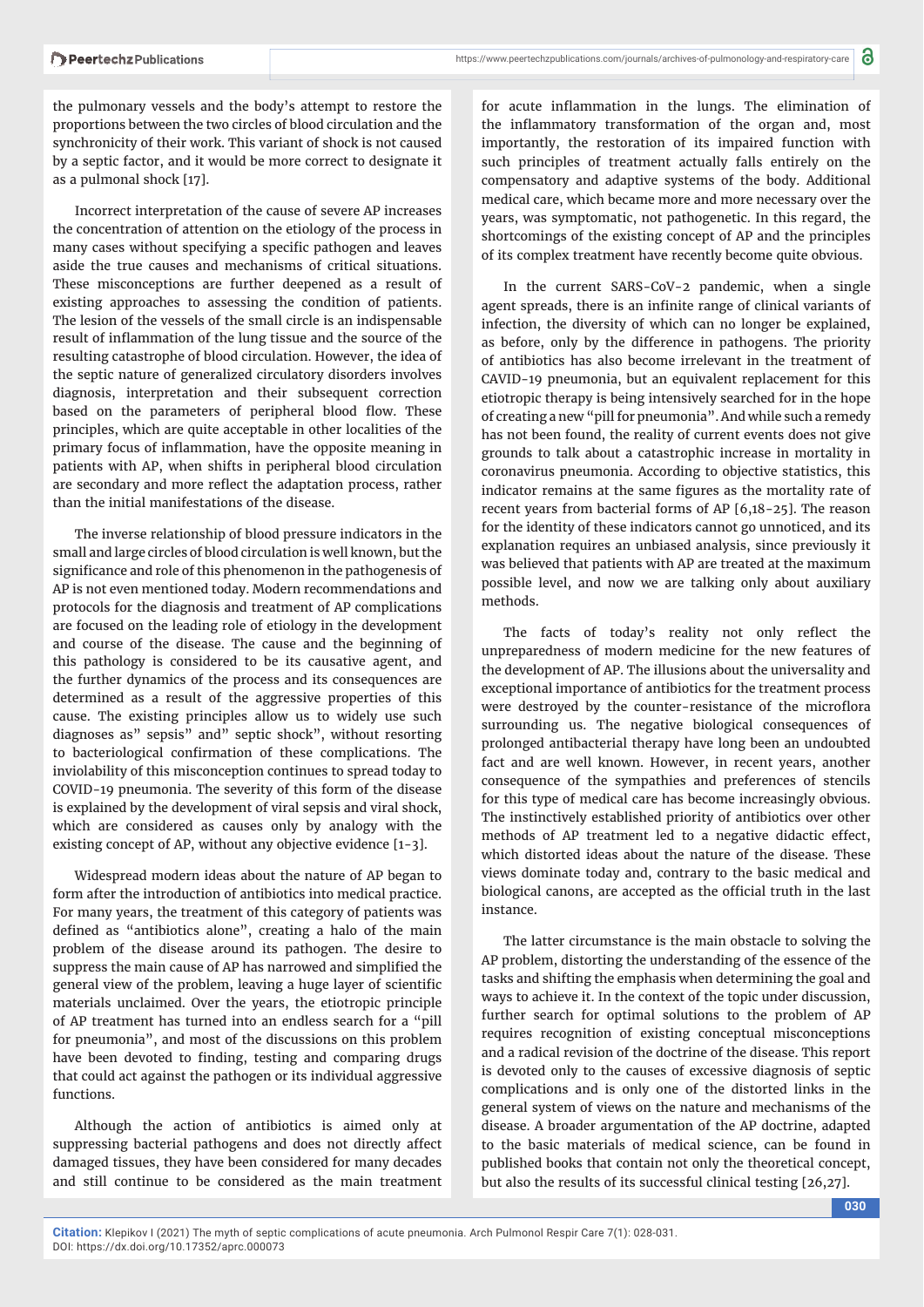the pulmonary vessels and the body's attempt to restore the proportions between the two circles of blood circulation and the synchronicity of their work. This variant of shock is not caused by a septic factor, and it would be more correct to designate it as a pulmonal shock [17].

Incorrect interpretation of the cause of severe AP increases the concentration of attention on the etiology of the process in many cases without specifying a specific pathogen and leaves aside the true causes and mechanisms of critical situations. These misconceptions are further deepened as a result of existing approaches to assessing the condition of patients. The lesion of the vessels of the small circle is an indispensable result of inflammation of the lung tissue and the source of the resulting catastrophe of blood circulation. However, the idea of the septic nature of generalized circulatory disorders involves diagnosis, interpretation and their subsequent correction based on the parameters of peripheral blood flow. These principles, which are quite acceptable in other localities of the primary focus of inflammation, have the opposite meaning in patients with AP, when shifts in peripheral blood circulation are secondary and more reflect the adaptation process, rather than the initial manifestations of the disease.

The inverse relationship of blood pressure indicators in the small and large circles of blood circulation is well known, but the significance and role of this phenomenon in the pathogenesis of AP is not even mentioned today. Modern recommendations and protocols for the diagnosis and treatment of AP complications are focused on the leading role of etiology in the development and course of the disease. The cause and the beginning of this pathology is considered to be its causative agent, and the further dynamics of the process and its consequences are determined as a result of the aggressive properties of this cause. The existing principles allow us to widely use such diagnoses as" sepsis" and" septic shock", without resorting to bacteriological confirmation of these complications. The inviolability of this misconception continues to spread today to COVID-19 pneumonia. The severity of this form of the disease is explained by the development of viral sepsis and viral shock, which are considered as causes only by analogy with the existing concept of AP, without any objective evidence [1-3].

Widespread modern ideas about the nature of AP began to form after the introduction of antibiotics into medical practice. For many years, the treatment of this category of patients was defined as "antibiotics alone", creating a halo of the main problem of the disease around its pathogen. The desire to suppress the main cause of AP has narrowed and simplified the general view of the problem, leaving a huge layer of scientific materials unclaimed. Over the years, the etiotropic principle of AP treatment has turned into an endless search for a "pill for pneumonia", and most of the discussions on this problem have been devoted to finding, testing and comparing drugs that could act against the pathogen or its individual aggressive functions.

Although the action of antibiotics is aimed only at suppressing bacterial pathogens and does not directly affect damaged tissues, they have been considered for many decades and still continue to be considered as the main treatment

for acute inflammation in the lungs. The elimination of the inflammatory transformation of the organ and, most importantly, the restoration of its impaired function with such principles of treatment actually falls entirely on the compensatory and adaptive systems of the body. Additional medical care, which became more and more necessary over the years, was symptomatic, not pathogenetic. In this regard, the shortcomings of the existing concept of AP and the principles of its complex treatment have recently become quite obvious.

In the current SARS-CoV-2 pandemic, when a single agent spreads, there is an infinite range of clinical variants of infection, the diversity of which can no longer be explained, as before, only by the difference in pathogens. The priority of antibiotics has also become irrelevant in the treatment of CAVID-19 pneumonia, but an equivalent replacement for this etiotropic therapy is being intensively searched for in the hope of creating a new "pill for pneumonia". And while such a remedy has not been found, the reality of current events does not give grounds to talk about a catastrophic increase in mortality in coronavirus pneumonia. According to objective statistics, this indicator remains at the same figures as the mortality rate of recent years from bacterial forms of AP [6,18-25]. The reason for the identity of these indicators cannot go unnoticed, and its explanation requires an unbiased analysis, since previously it was believed that patients with AP are treated at the maximum possible level, and now we are talking only about auxiliary methods.

The facts of today's reality not only reflect the unpreparedness of modern medicine for the new features of the development of AP. The illusions about the universality and exceptional importance of antibiotics for the treatment process were destroyed by the counter-resistance of the microflora surrounding us. The negative biological consequences of prolonged antibacterial therapy have long been an undoubted fact and are well known. However, in recent years, another consequence of the sympathies and preferences of stencils for this type of medical care has become increasingly obvious. The instinctively established priority of antibiotics over other methods of AP treatment led to a negative didactic effect, which distorted ideas about the nature of the disease. These views dominate today and, contrary to the basic medical and biological canons, are accepted as the official truth in the last instance.

The latter circumstance is the main obstacle to solving the AP problem, distorting the understanding of the essence of the tasks and shifting the emphasis when determining the goal and ways to achieve it. In the context of the topic under discussion, further search for optimal solutions to the problem of AP requires recognition of existing conceptual misconceptions and a radical revision of the doctrine of the disease. This report is devoted only to the causes of excessive diagnosis of septic complications and is only one of the distorted links in the general system of views on the nature and mechanisms of the disease. A broader argumentation of the AP doctrine, adapted to the basic materials of medical science, can be found in published books that contain not only the theoretical concept, but also the results of its successful clinical testing [26,27].

**Citation:** Klepikov I (2021) The myth of septic complications of acute pneumonia. Arch Pulmonol Respir Care 7(1): 028-031. DOI: https://dx.doi.org/10.17352/aprc.000073